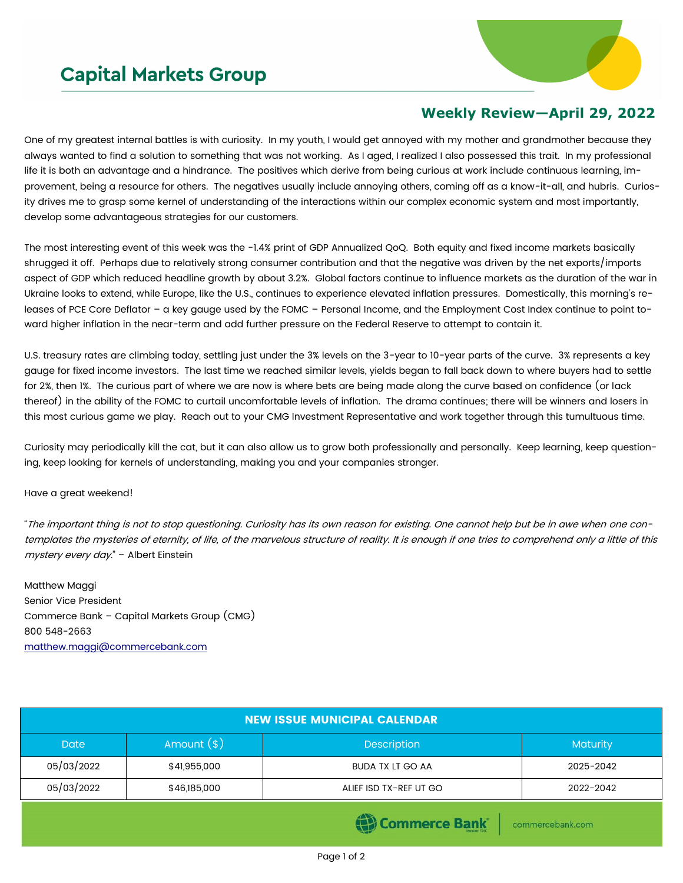## **Capital Markets Group**



## **Weekly Review—April 29, 2022**

One of my greatest internal battles is with curiosity. In my youth, I would get annoyed with my mother and grandmother because they always wanted to find a solution to something that was not working. As I aged, I realized I also possessed this trait. In my professional life it is both an advantage and a hindrance. The positives which derive from being curious at work include continuous learning, improvement, being a resource for others. The negatives usually include annoying others, coming off as a know-it-all, and hubris. Curiosity drives me to grasp some kernel of understanding of the interactions within our complex economic system and most importantly, develop some advantageous strategies for our customers.

The most interesting event of this week was the -1.4% print of GDP Annualized QoQ. Both equity and fixed income markets basically shrugged it off. Perhaps due to relatively strong consumer contribution and that the negative was driven by the net exports/imports aspect of GDP which reduced headline growth by about 3.2%. Global factors continue to influence markets as the duration of the war in Ukraine looks to extend, while Europe, like the U.S., continues to experience elevated inflation pressures. Domestically, this morning's releases of PCE Core Deflator – a key gauge used by the FOMC – Personal Income, and the Employment Cost Index continue to point toward higher inflation in the near-term and add further pressure on the Federal Reserve to attempt to contain it.

U.S. treasury rates are climbing today, settling just under the 3% levels on the 3-year to 10-year parts of the curve. 3% represents a key gauge for fixed income investors. The last time we reached similar levels, yields began to fall back down to where buyers had to settle for 2%, then 1%. The curious part of where we are now is where bets are being made along the curve based on confidence (or lack thereof) in the ability of the FOMC to curtail uncomfortable levels of inflation. The drama continues; there will be winners and losers in this most curious game we play. Reach out to your CMG Investment Representative and work together through this tumultuous time.

Curiosity may periodically kill the cat, but it can also allow us to grow both professionally and personally. Keep learning, keep questioning, keep looking for kernels of understanding, making you and your companies stronger.

## Have a great weekend!

"The important thing is not to stop questioning. Curiosity has its own reason for existing. One cannot help but be in awe when one contemplates the mysteries of eternity, of life, of the marvelous structure of reality. It is enough if one tries to comprehend only a little of this mystery every day." - Albert Einstein

Matthew Maggi Senior Vice President Commerce Bank – Capital Markets Group (CMG) 800 548-2663 [matthew.maggi@commercebank.com](mailto:matthew.maggi@commercebank.com)

| <b>NEW ISSUE MUNICIPAL CALENDAR</b> |              |                         |                 |  |  |  |
|-------------------------------------|--------------|-------------------------|-----------------|--|--|--|
| Amount $(*)$<br>Date                |              | Description             | <b>Maturity</b> |  |  |  |
| 05/03/2022                          | \$41,955,000 | <b>BUDA TX LT GO AA</b> | 2025-2042       |  |  |  |
| 05/03/2022                          | \$46,185,000 | ALIEF ISD TX-REF UT GO  | 2022-2042       |  |  |  |
| <b>STATISTICS</b>                   |              |                         |                 |  |  |  |

**(편) Commerce Bank** 

commercebank.com